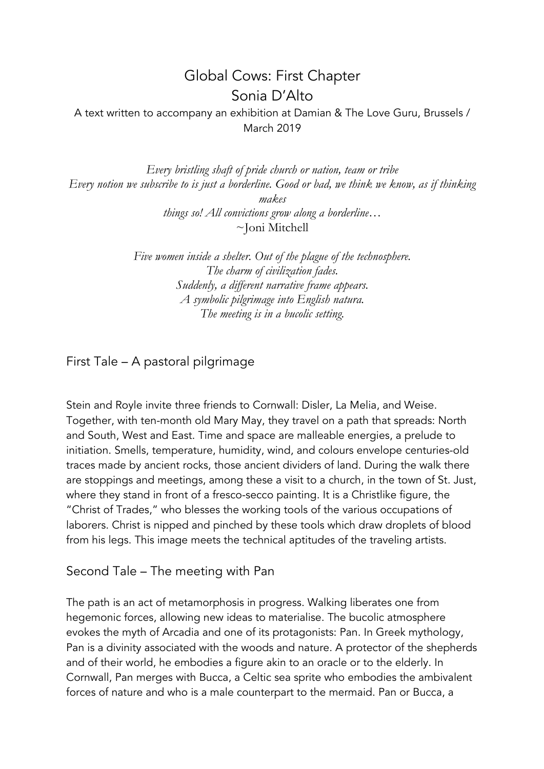# Global Cows: First Chapter Sonia D'Alto

A text written to accompany an exhibition at Damian & The Love Guru, Brussels / March 2019

*Every bristling shaft of pride church or nation, team or tribe Every notion we subscribe to is just a borderline. Good or bad, we think we know, as if thinking makes*

> *things so! All convictions grow along a borderline…* ~Joni Mitchell

*Five women inside a shelter. Out of the plague of the technosphere. The charm of civilization fades. Suddenly, a different narrative frame appears. A symbolic pilgrimage into English natura. The meeting is in a bucolic setting.*

First Tale – A pastoral pilgrimage

Stein and Royle invite three friends to Cornwall: Disler, La Melia, and Weise. Together, with ten-month old Mary May, they travel on a path that spreads: North and South, West and East. Time and space are malleable energies, a prelude to initiation. Smells, temperature, humidity, wind, and colours envelope centuries-old traces made by ancient rocks, those ancient dividers of land. During the walk there are stoppings and meetings, among these a visit to a church, in the town of St. Just, where they stand in front of a fresco-secco painting. It is a Christlike figure, the "Christ of Trades," who blesses the working tools of the various occupations of laborers. Christ is nipped and pinched by these tools which draw droplets of blood from his legs. This image meets the technical aptitudes of the traveling artists.

Second Tale – The meeting with Pan

The path is an act of metamorphosis in progress. Walking liberates one from hegemonic forces, allowing new ideas to materialise. The bucolic atmosphere evokes the myth of Arcadia and one of its protagonists: Pan. In Greek mythology, Pan is a divinity associated with the woods and nature. A protector of the shepherds and of their world, he embodies a figure akin to an oracle or to the elderly. In Cornwall, Pan merges with Bucca, a Celtic sea sprite who embodies the ambivalent forces of nature and who is a male counterpart to the mermaid. Pan or Bucca, a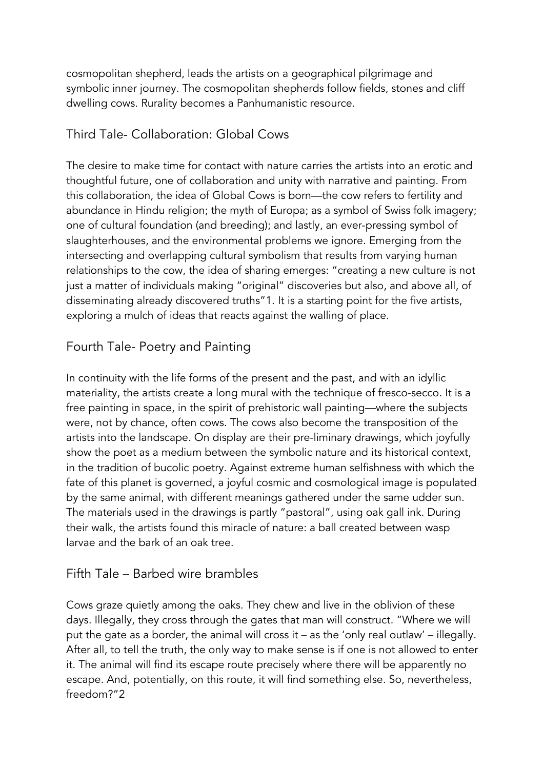cosmopolitan shepherd, leads the artists on a geographical pilgrimage and symbolic inner journey. The cosmopolitan shepherds follow fields, stones and cliff dwelling cows. Rurality becomes a Panhumanistic resource.

#### Third Tale- Collaboration: Global Cows

The desire to make time for contact with nature carries the artists into an erotic and thoughtful future, one of collaboration and unity with narrative and painting. From this collaboration, the idea of Global Cows is born—the cow refers to fertility and abundance in Hindu religion; the myth of Europa; as a symbol of Swiss folk imagery; one of cultural foundation (and breeding); and lastly, an ever-pressing symbol of slaughterhouses, and the environmental problems we ignore. Emerging from the intersecting and overlapping cultural symbolism that results from varying human relationships to the cow, the idea of sharing emerges: "creating a new culture is not just a matter of individuals making "original" discoveries but also, and above all, of disseminating already discovered truths"1. It is a starting point for the five artists, exploring a mulch of ideas that reacts against the walling of place.

### Fourth Tale- Poetry and Painting

In continuity with the life forms of the present and the past, and with an idyllic materiality, the artists create a long mural with the technique of fresco-secco. It is a free painting in space, in the spirit of prehistoric wall painting—where the subjects were, not by chance, often cows. The cows also become the transposition of the artists into the landscape. On display are their pre-liminary drawings, which joyfully show the poet as a medium between the symbolic nature and its historical context, in the tradition of bucolic poetry. Against extreme human selfishness with which the fate of this planet is governed, a joyful cosmic and cosmological image is populated by the same animal, with different meanings gathered under the same udder sun. The materials used in the drawings is partly "pastoral", using oak gall ink. During their walk, the artists found this miracle of nature: a ball created between wasp larvae and the bark of an oak tree.

#### Fifth Tale – Barbed wire brambles

Cows graze quietly among the oaks. They chew and live in the oblivion of these days. Illegally, they cross through the gates that man will construct. "Where we will put the gate as a border, the animal will cross it – as the 'only real outlaw' – illegally. After all, to tell the truth, the only way to make sense is if one is not allowed to enter it. The animal will find its escape route precisely where there will be apparently no escape. And, potentially, on this route, it will find something else. So, nevertheless, freedom?"2